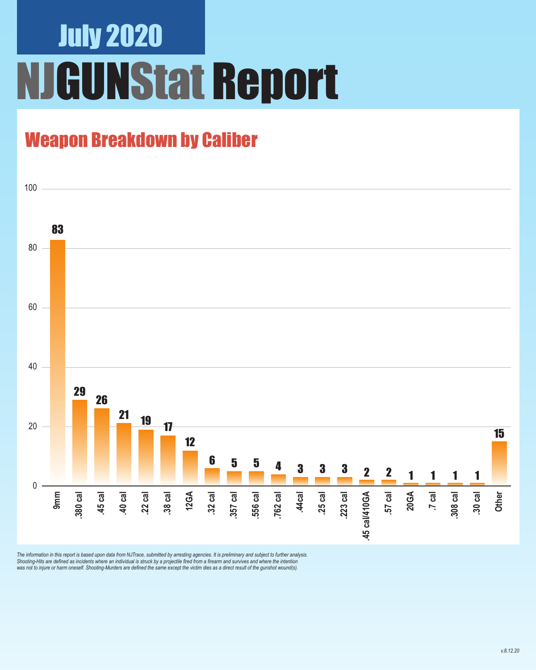# July 2020 **JGUNStat Report**

### Weapon Breakdown by Caliber



The information in this report is based upon data from NJTrace, submitted by arresting agencies. It is preliminary and subject to further analysis.<br>Shooting-Hits are defined as incidents where an individual is struck by a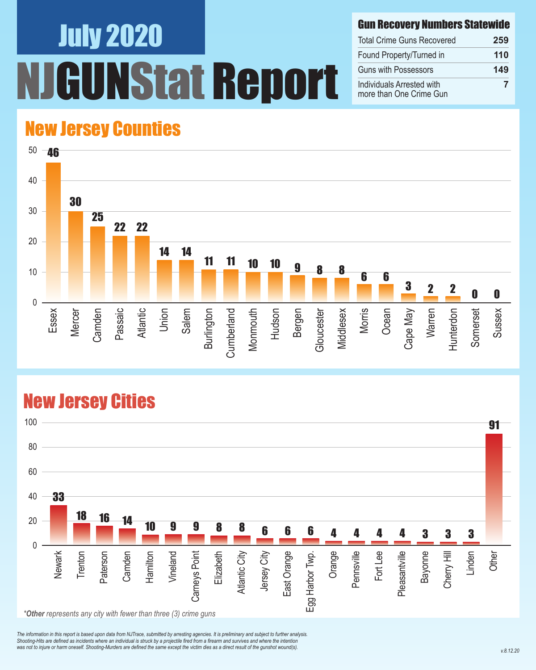# July 2020 UNStat Report

#### Gun Recovery Numbers Statewide

| <b>Total Crime Guns Recovered</b>                    | 259 |
|------------------------------------------------------|-----|
| Found Property/Turned in                             | 110 |
| <b>Guns with Possessors</b>                          | 149 |
| Individuals Arrested with<br>more than One Crime Gun | 7   |

### New Jersey Counties



#### New Jersey Cities



*The information in this report is based upon data from NJTrace, submitted by arresting agencies. It is preliminary and subject to further analysis. Shooting-Hits are defined as incidents where an individual is struck by a projectile fired from a firearm and survives and where the intention*  was not to injure or harm oneself. Shooting-Murders are defined the same except the victim dies as a direct result of the gunshot wound(s).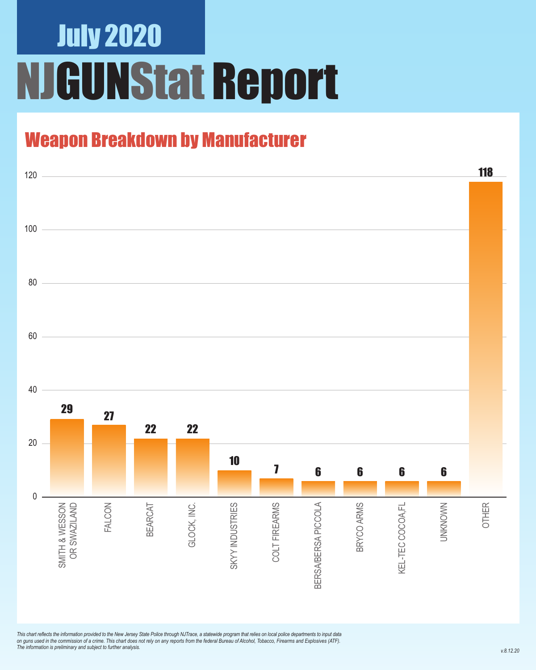# July 2020 NJGUNStat Report

### Weapon Breakdown by Manufacturer



*This chart reflects the information provided to the New Jersey State Police through NJTrace, a statewide program that relies on local police departments to input data on guns used in the commission of a crime. This chart does not rely on any reports from the federal Bureau of Alcohol, Tobacco, Firearms and Explosives (ATF). The information is preliminary and subject to further analysis.*